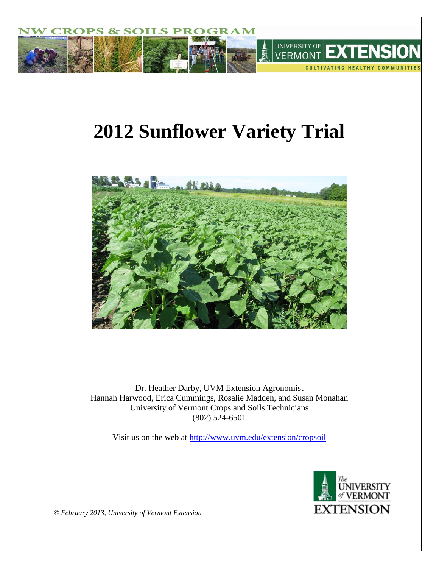

# **2012 Sunflower Variety Trial**



Dr. Heather Darby, UVM Extension Agronomist Hannah Harwood, Erica Cummings, Rosalie Madden, and Susan Monahan University of Vermont Crops and Soils Technicians (802) 524-6501

Visit us on the web at<http://www.uvm.edu/extension/cropsoil>



*© February 2013, University of Vermont Extension*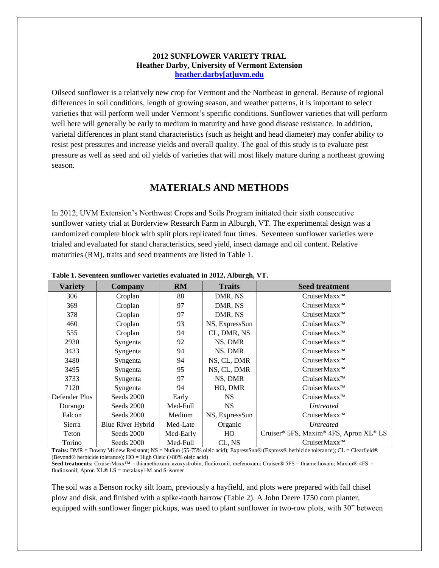### **2012 SUNFLOWER VARIETY TRIAL Heather Darby, University of Vermont Extension [heather.darby\[at\]uvm.edu](mailto:Heather.Darby@uvm.edu?subject=2012%20Sunflower%20Variety%20Trial)**

Oilseed sunflower is a relatively new crop for Vermont and the Northeast in general. Because of regional differences in soil conditions, length of growing season, and weather patterns, it is important to select varieties that will perform well under Vermont's specific conditions. Sunflower varieties that will perform well here will generally be early to medium in maturity and have good disease resistance. In addition, varietal differences in plant stand characteristics (such as height and head diameter) may confer ability to resist pest pressures and increase yields and overall quality. The goal of this study is to evaluate pest pressure as well as seed and oil yields of varieties that will most likely mature during a northeast growing season.

## **MATERIALS AND METHODS**

In 2012, UVM Extension's Northwest Crops and Soils Program initiated their sixth consecutive sunflower variety trial at Borderview Research Farm in Alburgh, VT. The experimental design was a randomized complete block with split plots replicated four times. Seventeen sunflower varieties were trialed and evaluated for stand characteristics, seed yield, insect damage and oil content. Relative maturities (RM), traits and seed treatments are listed in Table 1.

| <b>Variety</b> | <b>Company</b>                              | <b>RM</b>                                                                              | <b>Traits</b>      | <b>Seed treatment</b>                                                                             |
|----------------|---------------------------------------------|----------------------------------------------------------------------------------------|--------------------|---------------------------------------------------------------------------------------------------|
| 306            | Croplan                                     | 88                                                                                     | DMR, NS            | CruiserMaxx <sup>™</sup>                                                                          |
| 369            | Croplan                                     | 97                                                                                     | DMR, NS            | CruiserMaxx <sup>™</sup>                                                                          |
| 378            | Croplan                                     | 97                                                                                     | DMR, NS            | CruiserMaxx <sup>™</sup>                                                                          |
| 460            | Croplan                                     | 93                                                                                     | NS, ExpressSun     | CruiserMaxx <sup>™</sup>                                                                          |
| 555            | Croplan                                     | 94                                                                                     | CL, DMR, NS        | CruiserMaxx <sup>™</sup>                                                                          |
| 2930           | Syngenta                                    | 92                                                                                     | NS, DMR            | CruiserMaxx <sup>™</sup>                                                                          |
| 3433           | Syngenta                                    | 94                                                                                     | NS, DMR            | CruiserMaxx <sup>™</sup>                                                                          |
| 3480           | Syngenta                                    | 94                                                                                     | NS, CL, DMR        | CruiserMaxx <sup>™</sup>                                                                          |
| 3495           | Syngenta                                    | 95                                                                                     | NS, CL, DMR        | CruiserMaxx <sup>™</sup>                                                                          |
| 3733           | Syngenta                                    | 97                                                                                     | NS, DMR            | CruiserMaxx <sup>™</sup>                                                                          |
| 7120           | Syngenta                                    | 94                                                                                     | HO, DMR            | CruiserMaxx <sup>™</sup>                                                                          |
| Defender Plus  | Seeds 2000                                  | Early                                                                                  | <b>NS</b>          | CruiserMaxx <sup>™</sup>                                                                          |
| Durango        | Seeds 2000                                  | Med-Full                                                                               | <b>NS</b>          | <i>Untreated</i>                                                                                  |
| Falcon         | Seeds 2000                                  | Medium                                                                                 | NS, ExpressSun     | CruiserMaxx <sup>™</sup>                                                                          |
| Sierra         | Blue River Hybrid                           | Med-Late                                                                               | Organic            | <b>Untreated</b>                                                                                  |
| Teton          | Seeds 2000                                  | Med-Early                                                                              | HO                 | Cruiser® 5FS, Maxim® 4FS, Apron XL® LS                                                            |
| Torino         | Seeds 2000<br>$P_1$ $\cdots$ $P_n$<br>1.711 | Med-Full<br>$\sqrt{55}$ $\pi$ $\approx$ $\sqrt{1}$ $\sqrt{2}$<br>$\mathbf{v}$ $\alpha$ | CL, NS<br>$\cdots$ | CruiserMaxx™<br>$A \otimes T$ $\otimes$ $1$ $1$ $1$ $1$ $\otimes$ $T$ $\otimes$ $1$ $\otimes$ $1$ |

#### **Table 1. Seventeen sunflower varieties evaluated in 2012, Alburgh, VT.**

**Traits:** DMR = Downy Mildew Resistant; NS = NuSun (55-75% oleic acid); ExpressSun® (Express® herbicide tolerance); CL = Clearfield® (Beyond® herbicide tolerance); HO = High Oleic (>80% oleic acid)

Seed treatments: CruiserMaxx<sup>™</sup> = thiamethoxam, azoxystrobin, fludioxonil, mefenoxam; Cruiser® 5FS = thiamethoxam; Maxim® 4FS = fludioxonil; Apron XL® LS = metalaxyl-M and S-isomer

The soil was a Benson rocky silt loam, previously a hayfield, and plots were prepared with fall chisel plow and disk, and finished with a spike-tooth harrow (Table 2). A John Deere 1750 corn planter, equipped with sunflower finger pickups, was used to plant sunflower in two-row plots, with 30" between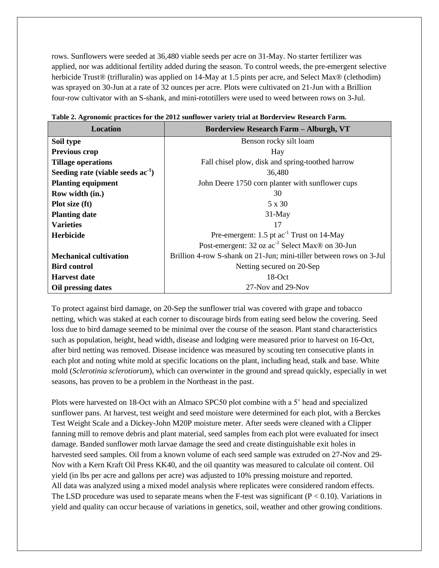rows. Sunflowers were seeded at 36,480 viable seeds per acre on 31-May. No starter fertilizer was applied, nor was additional fertility added during the season. To control weeds, the pre-emergent selective herbicide Trust<sup>®</sup> (trifluralin) was applied on 14-May at 1.5 pints per acre, and Select Max<sup>®</sup> (clethodim) was sprayed on 30-Jun at a rate of 32 ounces per acre. Plots were cultivated on 21-Jun with a Brillion four-row cultivator with an S-shank, and mini-rototillers were used to weed between rows on 3-Jul.

| <b>Location</b>                        | <b>Borderview Research Farm - Alburgh, VT</b>                       |
|----------------------------------------|---------------------------------------------------------------------|
| Soil type                              | Benson rocky silt loam                                              |
| <b>Previous crop</b>                   | Hay                                                                 |
| <b>Tillage operations</b>              | Fall chisel plow, disk and spring-toothed harrow                    |
| Seeding rate (viable seeds $ac^{-1}$ ) | 36,480                                                              |
| <b>Planting equipment</b>              | John Deere 1750 corn planter with sunflower cups                    |
| Row width (in.)                        | 30                                                                  |
| Plot size (ft)                         | 5 x 30                                                              |
| <b>Planting date</b>                   | $31$ -May                                                           |
| <b>Varieties</b>                       | 17                                                                  |
| <b>Herbicide</b>                       | Pre-emergent: $1.5$ pt $ac^{-1}$ Trust on 14-May                    |
|                                        | Post-emergent: 32 oz ac <sup>-1</sup> Select Max® on 30-Jun         |
| <b>Mechanical cultivation</b>          | Brillion 4-row S-shank on 21-Jun; mini-tiller between rows on 3-Jul |
| <b>Bird control</b>                    | Netting secured on 20-Sep                                           |
| <b>Harvest date</b>                    | 18-Oct                                                              |
| Oil pressing dates                     | 27-Nov and 29-Nov                                                   |

|  |  | Table 2. Agronomic practices for the 2012 sunflower variety trial at Borderview Research Farm. |  |  |  |
|--|--|------------------------------------------------------------------------------------------------|--|--|--|
|  |  |                                                                                                |  |  |  |
|  |  |                                                                                                |  |  |  |
|  |  |                                                                                                |  |  |  |

To protect against bird damage, on 20-Sep the sunflower trial was covered with grape and tobacco netting, which was staked at each corner to discourage birds from eating seed below the covering. Seed loss due to bird damage seemed to be minimal over the course of the season. Plant stand characteristics such as population, height, head width, disease and lodging were measured prior to harvest on 16-Oct, after bird netting was removed. Disease incidence was measured by scouting ten consecutive plants in each plot and noting white mold at specific locations on the plant, including head, stalk and base. White mold (*Sclerotinia sclerotiorum*), which can overwinter in the ground and spread quickly, especially in wet seasons, has proven to be a problem in the Northeast in the past.

Plots were harvested on 18-Oct with an Almaco SPC50 plot combine with a 5' head and specialized sunflower pans. At harvest, test weight and seed moisture were determined for each plot, with a Berckes Test Weight Scale and a Dickey-John M20P moisture meter. After seeds were cleaned with a Clipper fanning mill to remove debris and plant material, seed samples from each plot were evaluated for insect damage. Banded sunflower moth larvae damage the seed and create distinguishable exit holes in harvested seed samples. Oil from a known volume of each seed sample was extruded on 27-Nov and 29- Nov with a Kern Kraft Oil Press KK40, and the oil quantity was measured to calculate oil content. Oil yield (in lbs per acre and gallons per acre) was adjusted to 10% pressing moisture and reported. All data was analyzed using a mixed model analysis where replicates were considered random effects. The LSD procedure was used to separate means when the F-test was significant  $(P < 0.10)$ . Variations in yield and quality can occur because of variations in genetics, soil, weather and other growing conditions.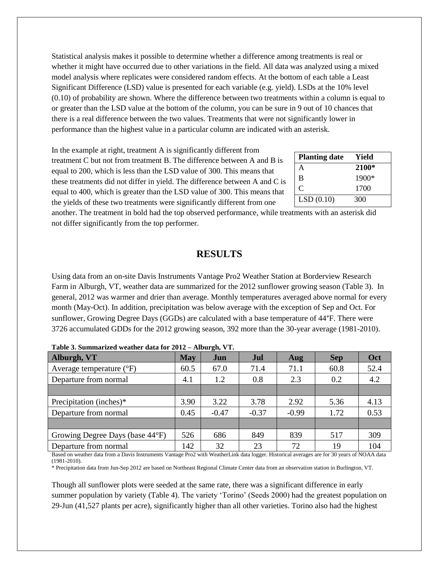Statistical analysis makes it possible to determine whether a difference among treatments is real or whether it might have occurred due to other variations in the field. All data was analyzed using a mixed model analysis where replicates were considered random effects. At the bottom of each table a Least Significant Difference (LSD) value is presented for each variable (e.g. yield). LSDs at the 10% level (0.10) of probability are shown. Where the difference between two treatments within a column is equal to or greater than the LSD value at the bottom of the column, you can be sure in 9 out of 10 chances that there is a real difference between the two values. Treatments that were not significantly lower in performance than the highest value in a particular column are indicated with an asterisk.

In the example at right, treatment A is significantly different from treatment C but not from treatment B. The difference between A and B is equal to 200, which is less than the LSD value of 300. This means that these treatments did not differ in yield. The difference between A and C is equal to 400, which is greater than the LSD value of 300. This means that the yields of these two treatments were significantly different from one

| <b>Planting date</b> | Yield   |
|----------------------|---------|
| A                    | 2100*   |
| B                    | $1900*$ |
| C                    | 1700    |
| LSD(0.10)            | 300     |

another. The treatment in bold had the top observed performance, while treatments with an asterisk did not differ significantly from the top performer.

## **RESULTS**

Using data from an on-site Davis Instruments Vantage Pro2 Weather Station at Borderview Research Farm in Alburgh, VT, weather data are summarized for the 2012 sunflower growing season (Table 3). In general, 2012 was warmer and drier than average. Monthly temperatures averaged above normal for every month (May-Oct). In addition, precipitation was below average with the exception of Sep and Oct. For sunflower, Growing Degree Days (GGDs) are calculated with a base temperature of 44°F. There were 3726 accumulated GDDs for the 2012 growing season, 392 more than the 30-year average (1981-2010).

| тамк огланицатаса псаакт ааа тог зотя |            | $\frac{1}{2}$ |         |         |            |      |
|---------------------------------------|------------|---------------|---------|---------|------------|------|
| Alburgh, VT                           | <b>May</b> | Jun           | Jul     | Aug     | <b>Sep</b> | Oct  |
| Average temperature $(^{\circ}F)$     | 60.5       | 67.0          | 71.4    | 71.1    | 60.8       | 52.4 |
| Departure from normal                 | 4.1        | 1.2           | 0.8     | 2.3     | 0.2        | 4.2  |
|                                       |            |               |         |         |            |      |
| Precipitation (inches)*               | 3.90       | 3.22          | 3.78    | 2.92    | 5.36       | 4.13 |
| Departure from normal                 | 0.45       | $-0.47$       | $-0.37$ | $-0.99$ | 1.72       | 0.53 |
|                                       |            |               |         |         |            |      |
| Growing Degree Days (base 44°F)       | 526        | 686           | 849     | 839     | 517        | 309  |
| Departure from normal                 | 142        | 32            | 23      | 72      | 19         | 104  |
|                                       |            |               |         |         |            |      |

|  | Table 3. Summarized weather data for 2012 - Alburgh, VT. |  |  |  |
|--|----------------------------------------------------------|--|--|--|
|  |                                                          |  |  |  |

Based on weather data from a Davis Instruments Vantage Pro2 with WeatherLink data logger. Historical averages are for 30 years of NOAA data (1981-2010).

\* Precipitation data from Jun-Sep 2012 are based on Northeast Regional Climate Center data from an observation station in Burlington, VT.

Though all sunflower plots were seeded at the same rate, there was a significant difference in early summer population by variety (Table 4). The variety 'Torino' (Seeds 2000) had the greatest population on 29-Jun (41,527 plants per acre), significantly higher than all other varieties. Torino also had the highest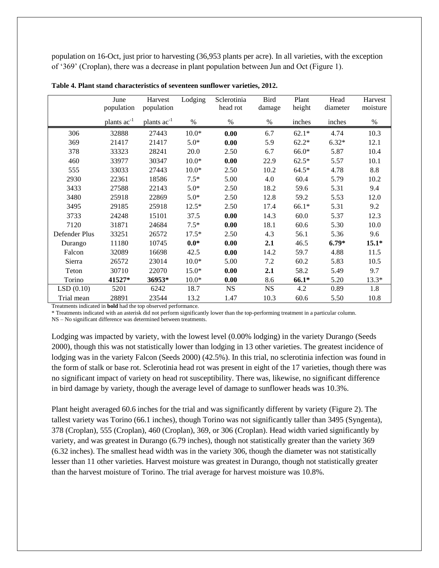population on 16-Oct, just prior to harvesting (36,953 plants per acre). In all varieties, with the exception of '369' (Croplan), there was a decrease in plant population between Jun and Oct (Figure 1).

|               | June                    | Harvest          | Lodging | Sclerotinia | <b>Bird</b> | Plant   | Head     | Harvest  |
|---------------|-------------------------|------------------|---------|-------------|-------------|---------|----------|----------|
|               | population              | population       |         | head rot    | damage      | height  | diameter | moisture |
|               | plants ac <sup>-1</sup> | plants $ac^{-1}$ | $\%$    | $\%$        | %           | inches  | inches   | %        |
| 306           | 32888                   | 27443            | $10.0*$ | 0.00        | 6.7         | $62.1*$ | 4.74     | 10.3     |
| 369           | 21417                   | 21417            | $5.0*$  | 0.00        | 5.9         | $62.2*$ | $6.32*$  | 12.1     |
| 378           | 33323                   | 28241            | 20.0    | 2.50        | 6.7         | $66.0*$ | 5.87     | 10.4     |
| 460           | 33977                   | 30347            | $10.0*$ | 0.00        | 22.9        | $62.5*$ | 5.57     | 10.1     |
| 555           | 33033                   | 27443            | $10.0*$ | 2.50        | 10.2        | $64.5*$ | 4.78     | 8.8      |
| 2930          | 22361                   | 18586            | $7.5*$  | 5.00        | 4.0         | 60.4    | 5.79     | 10.2     |
| 3433          | 27588                   | 22143            | $5.0*$  | 2.50        | 18.2        | 59.6    | 5.31     | 9.4      |
| 3480          | 25918                   | 22869            | $5.0*$  | 2.50        | 12.8        | 59.2    | 5.53     | 12.0     |
| 3495          | 29185                   | 25918            | $12.5*$ | 2.50        | 17.4        | 66.1*   | 5.31     | 9.2      |
| 3733          | 24248                   | 15101            | 37.5    | 0.00        | 14.3        | 60.0    | 5.37     | 12.3     |
| 7120          | 31871                   | 24684            | $7.5*$  | 0.00        | 18.1        | 60.6    | 5.30     | 10.0     |
| Defender Plus | 33251                   | 26572            | $17.5*$ | 2.50        | 4.3         | 56.1    | 5.36     | 9.6      |
| Durango       | 11180                   | 10745            | $0.0*$  | 0.00        | 2.1         | 46.5    | $6.79*$  | $15.1*$  |
| Falcon        | 32089                   | 16698            | 42.5    | 0.00        | 14.2        | 59.7    | 4.88     | 11.5     |
| Sierra        | 26572                   | 23014            | $10.0*$ | 5.00        | 7.2         | 60.2    | 5.83     | 10.5     |
| Teton         | 30710                   | 22070            | $15.0*$ | 0.00        | 2.1         | 58.2    | 5.49     | 9.7      |
| Torino        | 41527*                  | 36953*           | $10.0*$ | 0.00        | 8.6         | 66.1*   | 5.20     | $13.3*$  |
| LSD(0.10)     | 5201                    | 6242             | 18.7    | <b>NS</b>   | <b>NS</b>   | 4.2     | 0.89     | 1.8      |
| Trial mean    | 28891                   | 23544            | 13.2    | 1.47        | 10.3        | 60.6    | 5.50     | 10.8     |

| Table 4. Plant stand characteristics of seventeen sunflower varieties, 2012. |  |  |  |  |  |  |  |
|------------------------------------------------------------------------------|--|--|--|--|--|--|--|
|------------------------------------------------------------------------------|--|--|--|--|--|--|--|

Treatments indicated in **bold** had the top observed performance.

\* Treatments indicated with an asterisk did not perform significantly lower than the top-performing treatment in a particular column.

NS – No significant difference was determined between treatments.

Lodging was impacted by variety, with the lowest level (0.00% lodging) in the variety Durango (Seeds 2000), though this was not statistically lower than lodging in 13 other varieties. The greatest incidence of lodging was in the variety Falcon (Seeds 2000) (42.5%). In this trial, no sclerotinia infection was found in the form of stalk or base rot. Sclerotinia head rot was present in eight of the 17 varieties, though there was no significant impact of variety on head rot susceptibility. There was, likewise, no significant difference in bird damage by variety, though the average level of damage to sunflower heads was 10.3%.

Plant height averaged 60.6 inches for the trial and was significantly different by variety (Figure 2). The tallest variety was Torino (66.1 inches), though Torino was not significantly taller than 3495 (Syngenta), 378 (Croplan), 555 (Croplan), 460 (Croplan), 369, or 306 (Croplan). Head width varied significantly by variety, and was greatest in Durango (6.79 inches), though not statistically greater than the variety 369 (6.32 inches). The smallest head width was in the variety 306, though the diameter was not statistically lesser than 11 other varieties. Harvest moisture was greatest in Durango, though not statistically greater than the harvest moisture of Torino. The trial average for harvest moisture was 10.8%.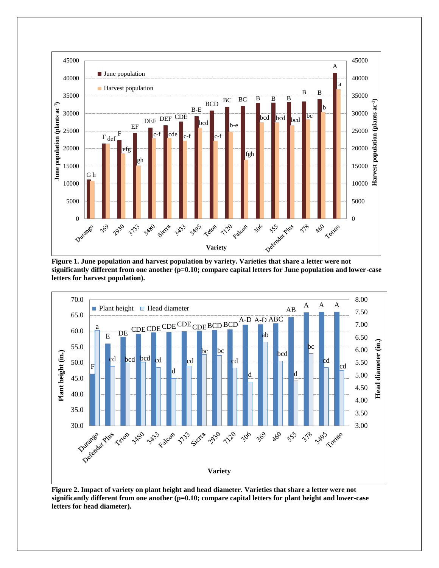

**Figure 1. June population and harvest population by variety. Varieties that share a letter were not significantly different from one another (p=0.10; compare capital letters for June population and lower-case letters for harvest population).**



**Figure 2. Impact of variety on plant height and head diameter. Varieties that share a letter were not significantly different from one another (p=0.10; compare capital letters for plant height and lower-case letters for head diameter).**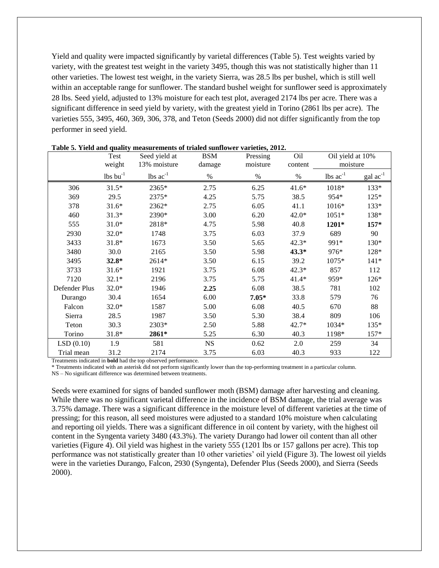Yield and quality were impacted significantly by varietal differences (Table 5). Test weights varied by variety, with the greatest test weight in the variety 3495, though this was not statistically higher than 11 other varieties. The lowest test weight, in the variety Sierra, was 28.5 lbs per bushel, which is still well within an acceptable range for sunflower. The standard bushel weight for sunflower seed is approximately 28 lbs. Seed yield, adjusted to 13% moisture for each test plot, averaged 2174 lbs per acre. There was a significant difference in seed yield by variety, with the greatest yield in Torino (2861 lbs per acre). The varieties 555, 3495, 460, 369, 306, 378, and Teton (Seeds 2000) did not differ significantly from the top performer in seed yield.

|               | Test                   | Seed yield at                 | <b>BSM</b> | Pressing | Oil     | Oil yield at 10% |                      |
|---------------|------------------------|-------------------------------|------------|----------|---------|------------------|----------------------|
|               | weight                 | 13% moisture                  | damage     | moisture | content | moisture         |                      |
|               | $lbs$ bu <sup>-1</sup> | $\text{ lbs } \text{ac}^{-1}$ | $\%$       | $\%$     | $\%$    | $lbs$ $ac^{-1}$  | $\text{gal ac}^{-1}$ |
| 306           | $31.5*$                | 2365*                         | 2.75       | 6.25     | $41.6*$ | 1018*            | 133*                 |
| 369           | 29.5                   | 2375*                         | 4.25       | 5.75     | 38.5    | 954*             | 125*                 |
| 378           | $31.6*$                | 2362*                         | 2.75       | 6.05     | 41.1    | 1016*            | 133*                 |
| 460           | $31.3*$                | 2390*                         | 3.00       | 6.20     | 42.0*   | $1051*$          | 138*                 |
| 555           | $31.0*$                | 2818*                         | 4.75       | 5.98     | 40.8    | 1201*            | 157*                 |
| 2930          | $32.0*$                | 1748                          | 3.75       | 6.03     | 37.9    | 689              | 90                   |
| 3433          | $31.8*$                | 1673                          | 3.50       | 5.65     | $42.3*$ | 991*             | 130*                 |
| 3480          | 30.0                   | 2165                          | 3.50       | 5.98     | $43.3*$ | 976*             | 128*                 |
| 3495          | 32.8*                  | 2614*                         | 3.50       | 6.15     | 39.2    | 1075*            | $141*$               |
| 3733          | $31.6*$                | 1921                          | 3.75       | 6.08     | 42.3*   | 857              | 112                  |
| 7120          | $32.1*$                | 2196                          | 3.75       | 5.75     | 41.4*   | 959*             | $126*$               |
| Defender Plus | $32.0*$                | 1946                          | 2.25       | 6.08     | 38.5    | 781              | 102                  |
| Durango       | 30.4                   | 1654                          | 6.00       | $7.05*$  | 33.8    | 579              | 76                   |
| Falcon        | $32.0*$                | 1587                          | 5.00       | 6.08     | 40.5    | 670              | 88                   |
| Sierra        | 28.5                   | 1987                          | 3.50       | 5.30     | 38.4    | 809              | 106                  |
| Teton         | 30.3                   | 2303*                         | 2.50       | 5.88     | 42.7*   | 1034*            | 135*                 |
| Torino        | $31.8*$                | 2861*                         | 5.25       | 6.30     | 40.3    | 1198*            | 157*                 |
| LSD(0.10)     | 1.9                    | 581                           | NS         | 0.62     | 2.0     | 259              | 34                   |
| Trial mean    | 31.2                   | 2174                          | 3.75       | 6.03     | 40.3    | 933              | 122                  |

**Table 5. Yield and quality measurements of trialed sunflower varieties, 2012.**

Treatments indicated in **bold** had the top observed performance.

\* Treatments indicated with an asterisk did not perform significantly lower than the top-performing treatment in a particular column.

NS – No significant difference was determined between treatments.

Seeds were examined for signs of banded sunflower moth (BSM) damage after harvesting and cleaning. While there was no significant varietal difference in the incidence of BSM damage, the trial average was 3.75% damage. There was a significant difference in the moisture level of different varieties at the time of pressing; for this reason, all seed moistures were adjusted to a standard 10% moisture when calculating and reporting oil yields. There was a significant difference in oil content by variety, with the highest oil content in the Syngenta variety 3480 (43.3%). The variety Durango had lower oil content than all other varieties (Figure 4). Oil yield was highest in the variety 555 (1201 lbs or 157 gallons per acre). This top performance was not statistically greater than 10 other varieties' oil yield (Figure 3). The lowest oil yields were in the varieties Durango, Falcon, 2930 (Syngenta), Defender Plus (Seeds 2000), and Sierra (Seeds 2000).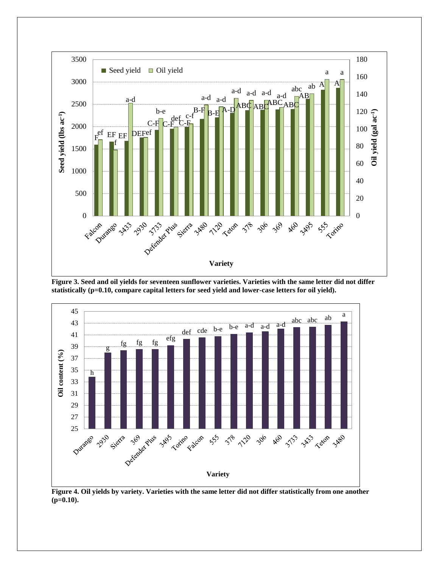

**Figure 3. Seed and oil yields for seventeen sunflower varieties. Varieties with the same letter did not differ statistically (p=0.10, compare capital letters for seed yield and lower-case letters for oil yield).**



**Figure 4. Oil yields by variety. Varieties with the same letter did not differ statistically from one another (p=0.10).**